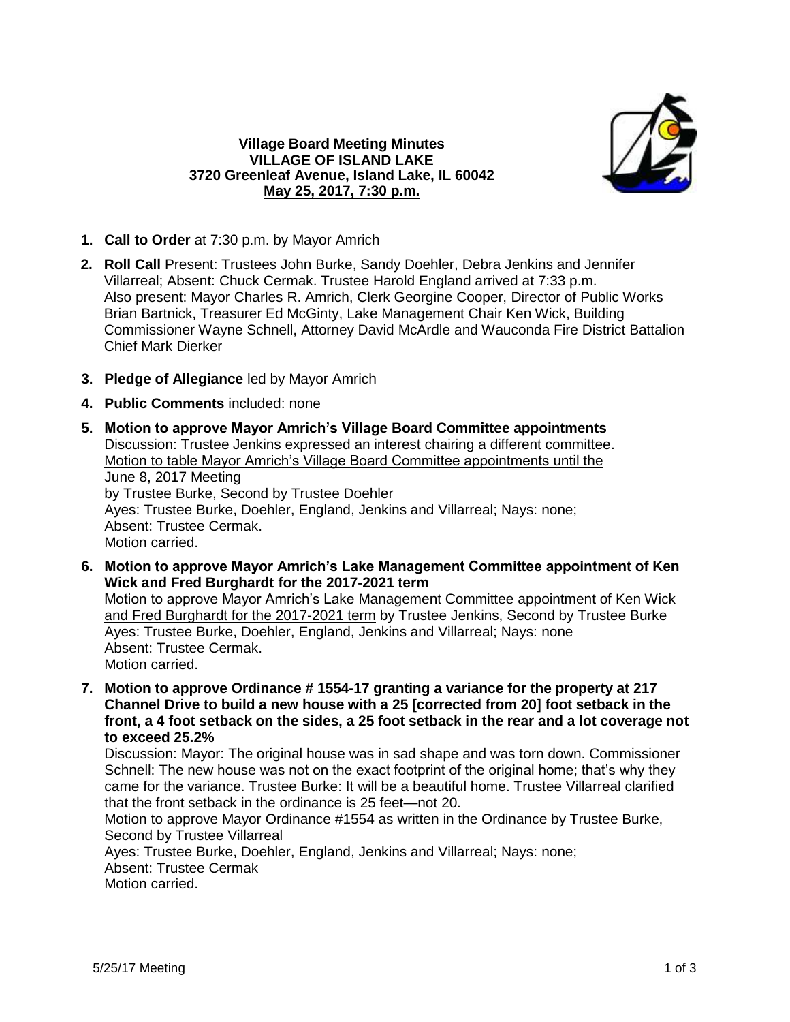

## **Village Board Meeting Minutes VILLAGE OF ISLAND LAKE 3720 Greenleaf Avenue, Island Lake, IL 60042 May 25, 2017, 7:30 p.m.**

- **1. Call to Order** at 7:30 p.m. by Mayor Amrich
- **2. Roll Call** Present: Trustees John Burke, Sandy Doehler, Debra Jenkins and Jennifer Villarreal; Absent: Chuck Cermak. Trustee Harold England arrived at 7:33 p.m. Also present: Mayor Charles R. Amrich, Clerk Georgine Cooper, Director of Public Works Brian Bartnick, Treasurer Ed McGinty, Lake Management Chair Ken Wick, Building Commissioner Wayne Schnell, Attorney David McArdle and Wauconda Fire District Battalion Chief Mark Dierker
- **3. Pledge of Allegiance** led by Mayor Amrich
- **4. Public Comments** included: none
- **5. Motion to approve Mayor Amrich's Village Board Committee appointments** Discussion: Trustee Jenkins expressed an interest chairing a different committee. Motion to table Mayor Amrich's Village Board Committee appointments until the June 8, 2017 Meeting by Trustee Burke, Second by Trustee Doehler Ayes: Trustee Burke, Doehler, England, Jenkins and Villarreal; Nays: none; Absent: Trustee Cermak. Motion carried.
- **6. Motion to approve Mayor Amrich's Lake Management Committee appointment of Ken Wick and Fred Burghardt for the 2017-2021 term**

Motion to approve Mayor Amrich's Lake Management Committee appointment of Ken Wick and Fred Burghardt for the 2017-2021 term by Trustee Jenkins, Second by Trustee Burke Ayes: Trustee Burke, Doehler, England, Jenkins and Villarreal; Nays: none Absent: Trustee Cermak. Motion carried.

**7. Motion to approve Ordinance # 1554-17 granting a variance for the property at 217 Channel Drive to build a new house with a 25 [corrected from 20] foot setback in the front, a 4 foot setback on the sides, a 25 foot setback in the rear and a lot coverage not to exceed 25.2%**

Discussion: Mayor: The original house was in sad shape and was torn down. Commissioner Schnell: The new house was not on the exact footprint of the original home; that's why they came for the variance. Trustee Burke: It will be a beautiful home. Trustee Villarreal clarified that the front setback in the ordinance is 25 feet—not 20.

Motion to approve Mayor Ordinance #1554 as written in the Ordinance by Trustee Burke, Second by Trustee Villarreal

Ayes: Trustee Burke, Doehler, England, Jenkins and Villarreal; Nays: none; Absent: Trustee Cermak Motion carried.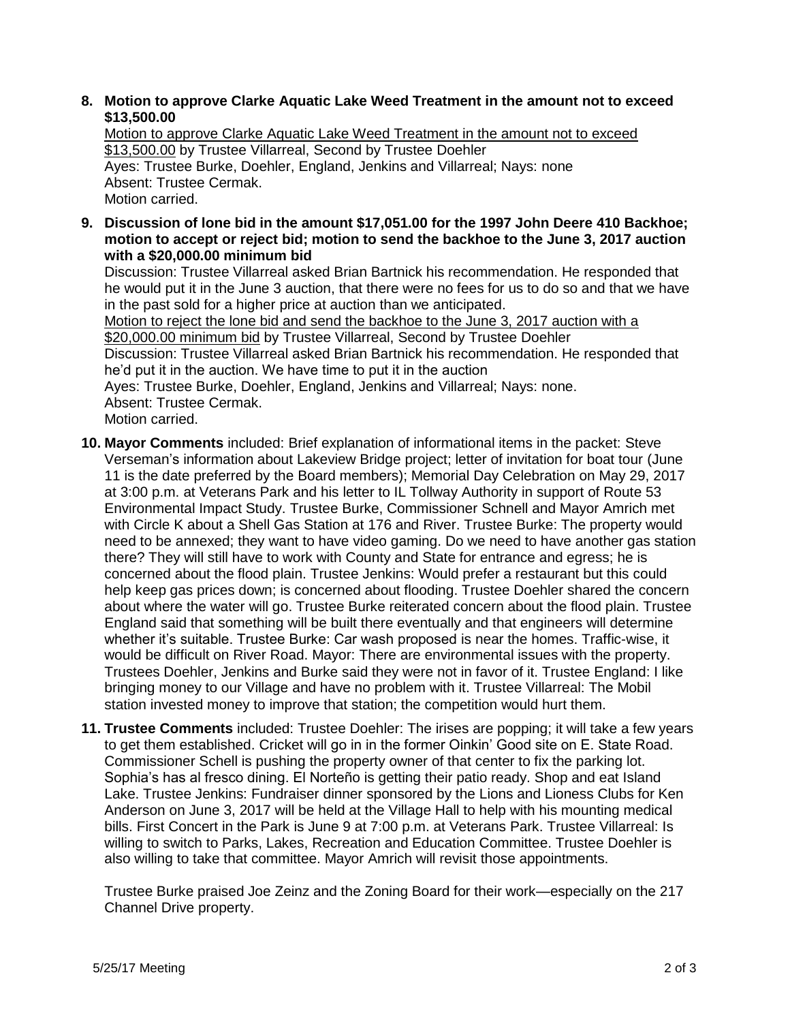## **8. Motion to approve Clarke Aquatic Lake Weed Treatment in the amount not to exceed \$13,500.00**

Motion to approve Clarke Aquatic Lake Weed Treatment in the amount not to exceed \$13,500.00 by Trustee Villarreal, Second by Trustee Doehler Ayes: Trustee Burke, Doehler, England, Jenkins and Villarreal; Nays: none Absent: Trustee Cermak. Motion carried.

**9. Discussion of lone bid in the amount \$17,051.00 for the 1997 John Deere 410 Backhoe; motion to accept or reject bid; motion to send the backhoe to the June 3, 2017 auction with a \$20,000.00 minimum bid**

Discussion: Trustee Villarreal asked Brian Bartnick his recommendation. He responded that he would put it in the June 3 auction, that there were no fees for us to do so and that we have in the past sold for a higher price at auction than we anticipated.

Motion to reject the lone bid and send the backhoe to the June 3, 2017 auction with a \$20,000.00 minimum bid by Trustee Villarreal, Second by Trustee Doehler Discussion: Trustee Villarreal asked Brian Bartnick his recommendation. He responded that he'd put it in the auction. We have time to put it in the auction Ayes: Trustee Burke, Doehler, England, Jenkins and Villarreal; Nays: none. Absent: Trustee Cermak. Motion carried.

- **10. Mayor Comments** included: Brief explanation of informational items in the packet: Steve Verseman's information about Lakeview Bridge project; letter of invitation for boat tour (June 11 is the date preferred by the Board members); Memorial Day Celebration on May 29, 2017 at 3:00 p.m. at Veterans Park and his letter to IL Tollway Authority in support of Route 53 Environmental Impact Study. Trustee Burke, Commissioner Schnell and Mayor Amrich met with Circle K about a Shell Gas Station at 176 and River. Trustee Burke: The property would need to be annexed; they want to have video gaming. Do we need to have another gas station there? They will still have to work with County and State for entrance and egress; he is concerned about the flood plain. Trustee Jenkins: Would prefer a restaurant but this could help keep gas prices down; is concerned about flooding. Trustee Doehler shared the concern about where the water will go. Trustee Burke reiterated concern about the flood plain. Trustee England said that something will be built there eventually and that engineers will determine whether it's suitable. Trustee Burke: Car wash proposed is near the homes. Traffic-wise, it would be difficult on River Road. Mayor: There are environmental issues with the property. Trustees Doehler, Jenkins and Burke said they were not in favor of it. Trustee England: I like bringing money to our Village and have no problem with it. Trustee Villarreal: The Mobil station invested money to improve that station; the competition would hurt them.
- **11. Trustee Comments** included: Trustee Doehler: The irises are popping; it will take a few years to get them established. Cricket will go in in the former Oinkin' Good site on E. State Road. Commissioner Schell is pushing the property owner of that center to fix the parking lot. Sophia's has al fresco dining. El Norteño is getting their patio ready. Shop and eat Island Lake. Trustee Jenkins: Fundraiser dinner sponsored by the Lions and Lioness Clubs for Ken Anderson on June 3, 2017 will be held at the Village Hall to help with his mounting medical bills. First Concert in the Park is June 9 at 7:00 p.m. at Veterans Park. Trustee Villarreal: Is willing to switch to Parks, Lakes, Recreation and Education Committee. Trustee Doehler is also willing to take that committee. Mayor Amrich will revisit those appointments.

Trustee Burke praised Joe Zeinz and the Zoning Board for their work—especially on the 217 Channel Drive property.